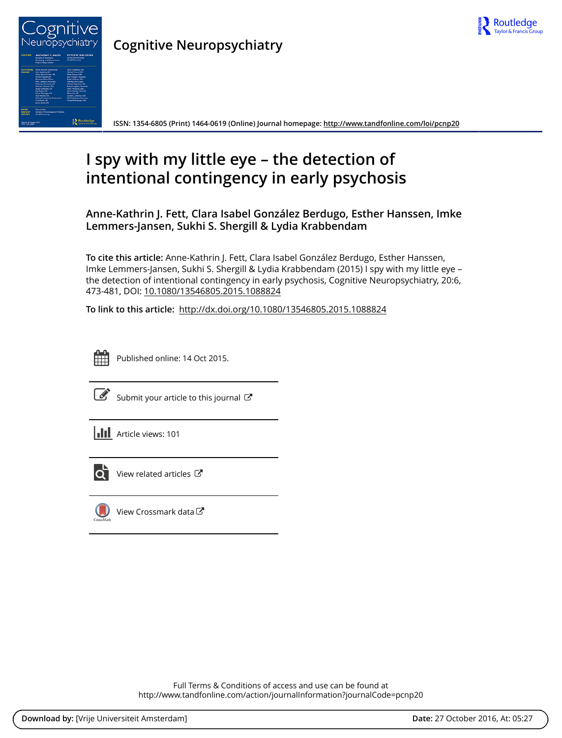



**Cognitive Neuropsychiatry**

**ISSN: 1354-6805 (Print) 1464-0619 (Online) Journal homepage:<http://www.tandfonline.com/loi/pcnp20>**

# **I spy with my little eye – the detection of intentional contingency in early psychosis**

**Anne-Kathrin J. Fett, Clara Isabel González Berdugo, Esther Hanssen, Imke Lemmers-Jansen, Sukhi S. Shergill & Lydia Krabbendam**

**To cite this article:** Anne-Kathrin J. Fett, Clara Isabel González Berdugo, Esther Hanssen, Imke Lemmers-Jansen, Sukhi S. Shergill & Lydia Krabbendam (2015) I spy with my little eye – the detection of intentional contingency in early psychosis, Cognitive Neuropsychiatry, 20:6, 473-481, DOI: [10.1080/13546805.2015.1088824](http://www.tandfonline.com/action/showCitFormats?doi=10.1080/13546805.2015.1088824)

**To link to this article:** <http://dx.doi.org/10.1080/13546805.2015.1088824>



Published online: 14 Oct 2015.



 $\overrightarrow{S}$  [Submit your article to this journal](http://www.tandfonline.com/action/authorSubmission?journalCode=pcnp20&show=instructions)  $\overrightarrow{S}$ 





[View related articles](http://www.tandfonline.com/doi/mlt/10.1080/13546805.2015.1088824) C



 $\bigcirc$  [View Crossmark data](http://crossmark.crossref.org/dialog/?doi=10.1080/13546805.2015.1088824&domain=pdf&date_stamp=2015-10-14) $\mathbb{Z}$ 

Full Terms & Conditions of access and use can be found at <http://www.tandfonline.com/action/journalInformation?journalCode=pcnp20>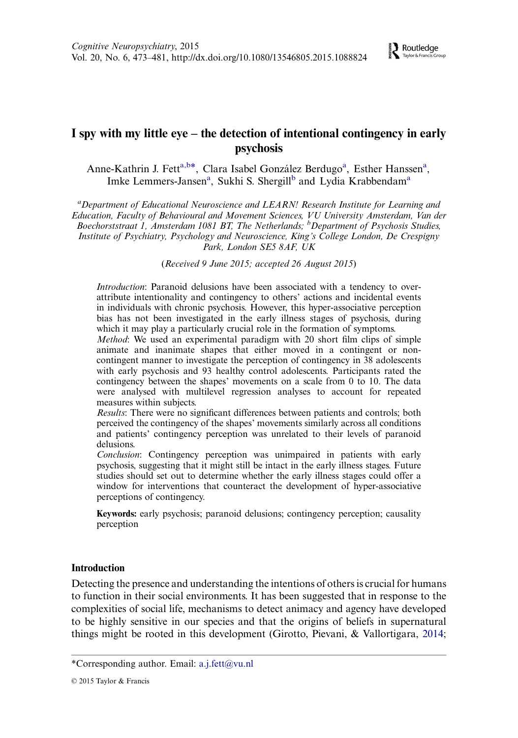## I spy with my little eye – the detection of intentional contingency in early psychosis

Anne-Kathrin J. Fett<sup>a,b\*</sup>, Clara Isabel González Berdugo<sup>a</sup>, Esther Hanssen<sup>a</sup>, Imke Lemmers-Jansen<sup>a</sup>, Sukhi S. Shergill<sup>b</sup> and Lydia Krabbendam<sup>a</sup>

<sup>a</sup> Department of Educational Neuroscience and LEARN! Research Institute for Learning and Education, Faculty of Behavioural and Movement Sciences, VU University Amsterdam, Van der Boechorststraat 1, Amsterdam 1081 BT, The Netherlands; <sup>b</sup>Department of Psychosis Studies, Institute of Psychiatry, Psychology and Neuroscience, King's College London, De Crespigny Park, London SE5 8AF, UK

(Received 9 June 2015; accepted 26 August 2015)

Introduction: Paranoid delusions have been associated with a tendency to overattribute intentionality and contingency to others' actions and incidental events in individuals with chronic psychosis. However, this hyper-associative perception bias has not been investigated in the early illness stages of psychosis, during which it may play a particularly crucial role in the formation of symptoms.

Method: We used an experimental paradigm with 20 short film clips of simple animate and inanimate shapes that either moved in a contingent or noncontingent manner to investigate the perception of contingency in 38 adolescents with early psychosis and 93 healthy control adolescents. Participants rated the contingency between the shapes' movements on a scale from 0 to 10. The data were analysed with multilevel regression analyses to account for repeated measures within subjects.

Results: There were no significant differences between patients and controls; both perceived the contingency of the shapes' movements similarly across all conditions and patients' contingency perception was unrelated to their levels of paranoid delusions.

Conclusion: Contingency perception was unimpaired in patients with early psychosis, suggesting that it might still be intact in the early illness stages. Future studies should set out to determine whether the early illness stages could offer a window for interventions that counteract the development of hyper-associative perceptions of contingency.

Keywords: early psychosis; paranoid delusions; contingency perception; causality perception

## Introduction

Detecting the presence and understanding the intentions of others is crucial for humans to function in their social environments. It has been suggested that in response to the complexities of social life, mechanisms to detect animacy and agency have developed to be highly sensitive in our species and that the origins of beliefs in supernatural things might be rooted in this development (Girotto, Pievani, & Vallortigara, [2014](#page-8-0);

<sup>\*</sup>Corresponding author. Email: [a.j.fett@vu.nl](mailto:a.j.fett@vu.nl)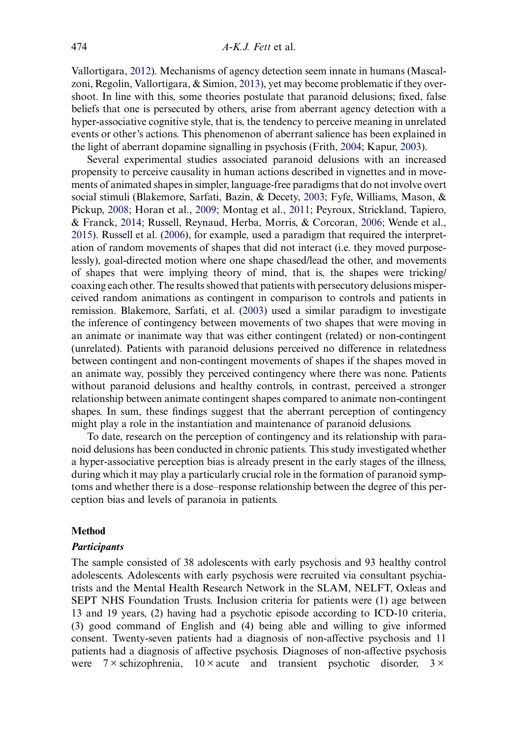Vallortigara, [2012\)](#page-9-0). Mechanisms of agency detection seem innate in humans (Mascalzoni, Regolin, Vallortigara, & Simion, [2013\)](#page-9-0), yet may become problematic if they overshoot. In line with this, some theories postulate that paranoid delusions; fixed, false beliefs that one is persecuted by others, arise from aberrant agency detection with a hyper-associative cognitive style, that is, the tendency to perceive meaning in unrelated events or other's actions. This phenomenon of aberrant salience has been explained in the light of aberrant dopamine signalling in psychosis (Frith, [2004](#page-8-0); Kapur, [2003](#page-8-0)).

Several experimental studies associated paranoid delusions with an increased propensity to perceive causality in human actions described in vignettes and in movements of animated shapes in simpler, language-free paradigms that do not involve overt social stimuli (Blakemore, Sarfati, Bazin, & Decety, [2003](#page-8-0); Fyfe, Williams, Mason, & Pickup, [2008;](#page-8-0) Horan et al., [2009](#page-8-0); Montag et al., [2011](#page-9-0); Peyroux, Strickland, Tapiero, & Franck, [2014;](#page-9-0) Russell, Reynaud, Herba, Morris, & Corcoran, [2006;](#page-9-0) Wende et al., [2015](#page-9-0)). Russell et al. [\(2006](#page-9-0)), for example, used a paradigm that required the interpretation of random movements of shapes that did not interact (i.e. they moved purposelessly), goal-directed motion where one shape chased/lead the other, and movements of shapes that were implying theory of mind, that is, the shapes were tricking/ coaxing each other. The results showed that patients with persecutory delusions misperceived random animations as contingent in comparison to controls and patients in remission. Blakemore, Sarfati, et al. [\(2003](#page-8-0)) used a similar paradigm to investigate the inference of contingency between movements of two shapes that were moving in an animate or inanimate way that was either contingent (related) or non-contingent (unrelated). Patients with paranoid delusions perceived no difference in relatedness between contingent and non-contingent movements of shapes if the shapes moved in an animate way, possibly they perceived contingency where there was none. Patients without paranoid delusions and healthy controls, in contrast, perceived a stronger relationship between animate contingent shapes compared to animate non-contingent shapes. In sum, these findings suggest that the aberrant perception of contingency might play a role in the instantiation and maintenance of paranoid delusions.

To date, research on the perception of contingency and its relationship with paranoid delusions has been conducted in chronic patients. This study investigated whether a hyper-associative perception bias is already present in the early stages of the illness, during which it may play a particularly crucial role in the formation of paranoid symptoms and whether there is a dose–response relationship between the degree of this perception bias and levels of paranoia in patients.

## Method

#### **Participants**

The sample consisted of 38 adolescents with early psychosis and 93 healthy control adolescents. Adolescents with early psychosis were recruited via consultant psychiatrists and the Mental Health Research Network in the SLAM, NELFT, Oxleas and SEPT NHS Foundation Trusts. Inclusion criteria for patients were (1) age between 13 and 19 years, (2) having had a psychotic episode according to ICD-10 criteria, (3) good command of English and (4) being able and willing to give informed consent. Twenty-seven patients had a diagnosis of non-affective psychosis and 11 patients had a diagnosis of affective psychosis. Diagnoses of non-affective psychosis were  $7 \times$  schizophrenia,  $10 \times$  acute and transient psychotic disorder,  $3 \times$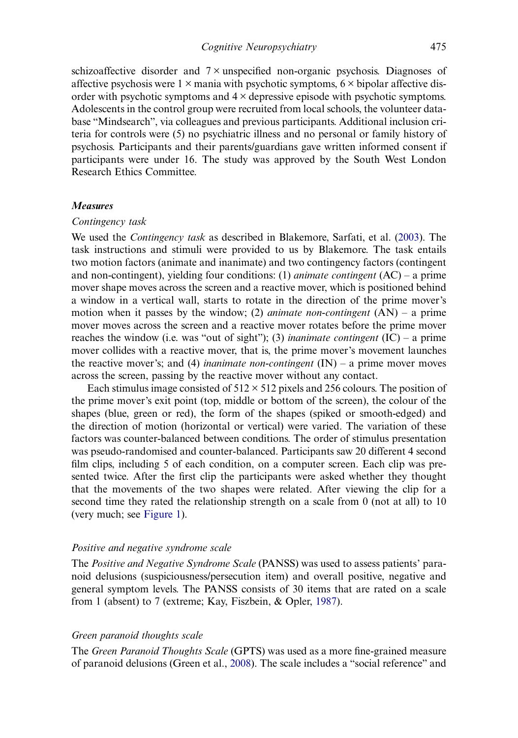schizoaffective disorder and  $7 \times$  unspecified non-organic psychosis. Diagnoses of affective psychosis were  $1 \times$  mania with psychotic symptoms,  $6 \times$  bipolar affective disorder with psychotic symptoms and  $4 \times$  depressive episode with psychotic symptoms. Adolescents in the control group were recruited from local schools, the volunteer database "Mindsearch", via colleagues and previous participants. Additional inclusion criteria for controls were (5) no psychiatric illness and no personal or family history of psychosis. Participants and their parents/guardians gave written informed consent if participants were under 16. The study was approved by the South West London Research Ethics Committee.

#### Measures

## Contingency task

We used the *Contingency task* as described in Blakemore, Sarfati, et al. [\(2003](#page-8-0)). The task instructions and stimuli were provided to us by Blakemore. The task entails two motion factors (animate and inanimate) and two contingency factors (contingent and non-contingent), yielding four conditions: (1) *animate contingent*  $(AC)$  – a prime mover shape moves across the screen and a reactive mover, which is positioned behind a window in a vertical wall, starts to rotate in the direction of the prime mover's motion when it passes by the window; (2) *animate non-contingent*  $(AN) - a$  prime mover moves across the screen and a reactive mover rotates before the prime mover reaches the window (i.e. was "out of sight"); (3) *inanimate contingent* (IC) – a prime mover collides with a reactive mover, that is, the prime mover's movement launches the reactive mover's; and (4) *inanimate non-contingent*  $(IN) - a$  prime mover moves across the screen, passing by the reactive mover without any contact.

Each stimulus image consisted of  $512 \times 512$  pixels and 256 colours. The position of the prime mover's exit point (top, middle or bottom of the screen), the colour of the shapes (blue, green or red), the form of the shapes (spiked or smooth-edged) and the direction of motion (horizontal or vertical) were varied. The variation of these factors was counter-balanced between conditions. The order of stimulus presentation was pseudo-randomised and counter-balanced. Participants saw 20 different 4 second film clips, including 5 of each condition, on a computer screen. Each clip was presented twice. After the first clip the participants were asked whether they thought that the movements of the two shapes were related. After viewing the clip for a second time they rated the relationship strength on a scale from 0 (not at all) to 10 (very much; see [Figure 1\)](#page-4-0).

#### Positive and negative syndrome scale

The Positive and Negative Syndrome Scale (PANSS) was used to assess patients' paranoid delusions (suspiciousness/persecution item) and overall positive, negative and general symptom levels. The PANSS consists of 30 items that are rated on a scale from 1 (absent) to 7 (extreme; Kay, Fiszbein, & Opler, [1987\)](#page-8-0).

## Green paranoid thoughts scale

The Green Paranoid Thoughts Scale (GPTS) was used as a more fine-grained measure of paranoid delusions (Green et al., [2008](#page-8-0)). The scale includes a "social reference" and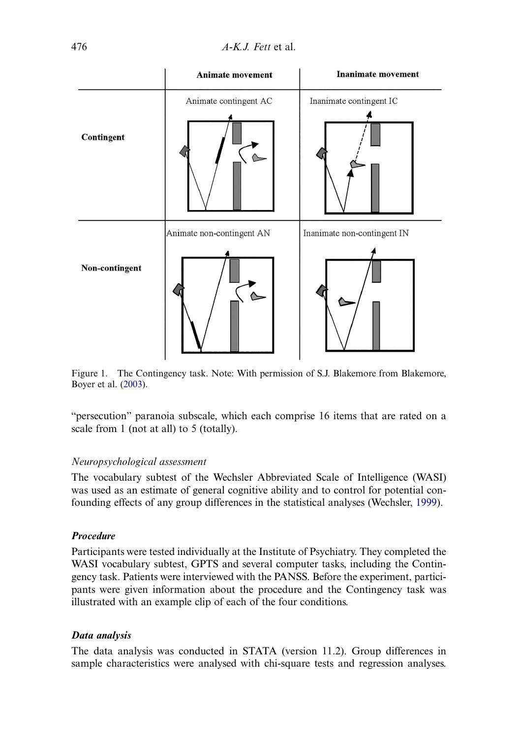<span id="page-4-0"></span>

Figure 1. The Contingency task. Note: With permission of S.J. Blakemore from Blakemore, Boyer et al. ([2003](#page-8-0)).

"persecution" paranoia subscale, which each comprise 16 items that are rated on a scale from 1 (not at all) to 5 (totally).

## Neuropsychological assessment

The vocabulary subtest of the Wechsler Abbreviated Scale of Intelligence (WASI) was used as an estimate of general cognitive ability and to control for potential confounding effects of any group differences in the statistical analyses (Wechsler, [1999](#page-9-0)).

## Procedure

Participants were tested individually at the Institute of Psychiatry. They completed the WASI vocabulary subtest, GPTS and several computer tasks, including the Contingency task. Patients were interviewed with the PANSS. Before the experiment, participants were given information about the procedure and the Contingency task was illustrated with an example clip of each of the four conditions.

## Data analysis

The data analysis was conducted in STATA (version 11.2). Group differences in sample characteristics were analysed with chi-square tests and regression analyses.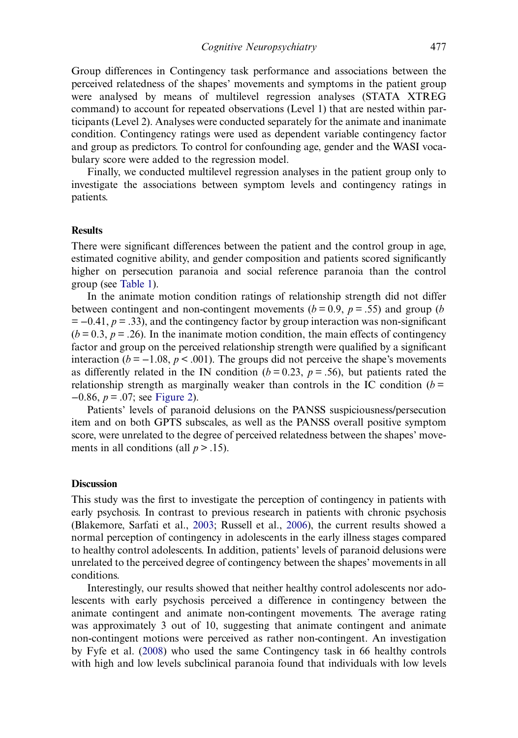Group differences in Contingency task performance and associations between the perceived relatedness of the shapes' movements and symptoms in the patient group were analysed by means of multilevel regression analyses (STATA XTREG command) to account for repeated observations (Level 1) that are nested within participants (Level 2). Analyses were conducted separately for the animate and inanimate condition. Contingency ratings were used as dependent variable contingency factor and group as predictors. To control for confounding age, gender and the WASI vocabulary score were added to the regression model.

Finally, we conducted multilevel regression analyses in the patient group only to investigate the associations between symptom levels and contingency ratings in patients.

#### **Results**

There were significant differences between the patient and the control group in age, estimated cognitive ability, and gender composition and patients scored significantly higher on persecution paranoia and social reference paranoia than the control group (see [Table 1](#page-6-0)).

In the animate motion condition ratings of relationship strength did not differ between contingent and non-contingent movements ( $b = 0.9$ ,  $p = .55$ ) and group (b)  $= -0.41$ ,  $p = .33$ ), and the contingency factor by group interaction was non-significant  $(b = 0.3, p = .26)$ . In the inanimate motion condition, the main effects of contingency factor and group on the perceived relationship strength were qualified by a significant interaction ( $b = -1.08$ ,  $p < .001$ ). The groups did not perceive the shape's movements as differently related in the IN condition ( $b = 0.23$ ,  $p = .56$ ), but patients rated the relationship strength as marginally weaker than controls in the IC condition  $(b =$  $-0.86$ ,  $p = .07$ ; see [Figure 2\)](#page-7-0).

Patients' levels of paranoid delusions on the PANSS suspiciousness/persecution item and on both GPTS subscales, as well as the PANSS overall positive symptom score, were unrelated to the degree of perceived relatedness between the shapes' movements in all conditions (all  $p > .15$ ).

#### **Discussion**

This study was the first to investigate the perception of contingency in patients with early psychosis. In contrast to previous research in patients with chronic psychosis (Blakemore, Sarfati et al., [2003;](#page-8-0) Russell et al., [2006\)](#page-9-0), the current results showed a normal perception of contingency in adolescents in the early illness stages compared to healthy control adolescents. In addition, patients' levels of paranoid delusions were unrelated to the perceived degree of contingency between the shapes' movements in all conditions.

Interestingly, our results showed that neither healthy control adolescents nor adolescents with early psychosis perceived a difference in contingency between the animate contingent and animate non-contingent movements. The average rating was approximately 3 out of 10, suggesting that animate contingent and animate non-contingent motions were perceived as rather non-contingent. An investigation by Fyfe et al. ([2008\)](#page-8-0) who used the same Contingency task in 66 healthy controls with high and low levels subclinical paranoia found that individuals with low levels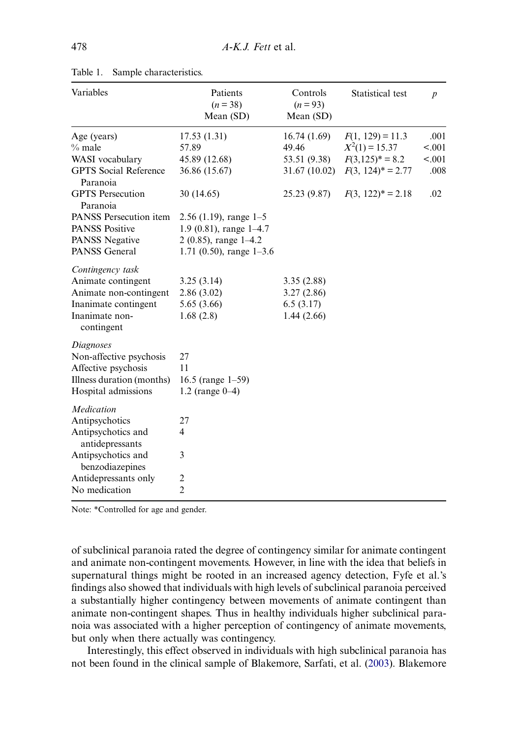| Variables                                                                                                                | Patients<br>$(n=38)$<br>Mean (SD)                                                                            | Controls<br>$(n=93)$<br>Mean (SD)                   | Statistical test                       | $\boldsymbol{p}$ |
|--------------------------------------------------------------------------------------------------------------------------|--------------------------------------------------------------------------------------------------------------|-----------------------------------------------------|----------------------------------------|------------------|
| Age (years)<br>$%$ male                                                                                                  | 17.53(1.31)<br>57.89                                                                                         | 16.74(1.69)<br>49.46                                | $F(1, 129) = 11.3$<br>$X^2(1) = 15.37$ | .001<br>< .001   |
| WASI vocabulary                                                                                                          | 45.89 (12.68)                                                                                                | 53.51 (9.38)                                        | $F(3,125)^* = 8.2$                     | < .001           |
| <b>GPTS</b> Social Reference<br>Paranoia                                                                                 | 36.86 (15.67)                                                                                                | 31.67 (10.02)                                       | $F(3, 124)^* = 2.77$                   | .008             |
| <b>GPTS</b> Persecution<br>Paranoia                                                                                      | 30 (14.65)                                                                                                   | 25.23 (9.87)                                        | $F(3, 122)^* = 2.18$                   | .02              |
| PANSS Persecution item<br><b>PANSS Positive</b><br><b>PANSS Negative</b><br><b>PANSS General</b>                         | $2.56$ (1.19), range 1-5<br>1.9 (0.81), range 1-4.7<br>2 (0.85), range $1-4.2$<br>1.71 (0.50), range $1-3.6$ |                                                     |                                        |                  |
| Contingency task<br>Animate contingent<br>Animate non-contingent<br>Inanimate contingent<br>Inanimate non-<br>contingent | 3.25(3.14)<br>2.86(3.02)<br>5.65 (3.66)<br>1.68(2.8)                                                         | 3.35(2.88)<br>3.27(2.86)<br>6.5(3.17)<br>1.44(2.66) |                                        |                  |
| Diagnoses<br>Non-affective psychosis<br>Affective psychosis<br>Illness duration (months)<br>Hospital admissions          | 27<br>11<br>16.5 (range $1-59$ )<br>1.2 (range $0-4$ )                                                       |                                                     |                                        |                  |
| Medication<br>Antipsychotics<br>Antipsychotics and<br>antidepressants                                                    | 27<br>$\overline{4}$                                                                                         |                                                     |                                        |                  |
| Antipsychotics and<br>benzodiazepines                                                                                    | 3                                                                                                            |                                                     |                                        |                  |
| Antidepressants only                                                                                                     | $\overline{\mathbf{c}}$                                                                                      |                                                     |                                        |                  |
| No medication                                                                                                            | $\overline{2}$                                                                                               |                                                     |                                        |                  |

<span id="page-6-0"></span>

| Table 1. |  | Sample characteristics. |
|----------|--|-------------------------|
|----------|--|-------------------------|

Note: \*Controlled for age and gender.

of subclinical paranoia rated the degree of contingency similar for animate contingent and animate non-contingent movements. However, in line with the idea that beliefs in supernatural things might be rooted in an increased agency detection, Fyfe et al.'s findings also showed that individuals with high levels of subclinical paranoia perceived a substantially higher contingency between movements of animate contingent than animate non-contingent shapes. Thus in healthy individuals higher subclinical paranoia was associated with a higher perception of contingency of animate movements, but only when there actually was contingency.

Interestingly, this effect observed in individuals with high subclinical paranoia has not been found in the clinical sample of Blakemore, Sarfati, et al. ([2003\)](#page-8-0). Blakemore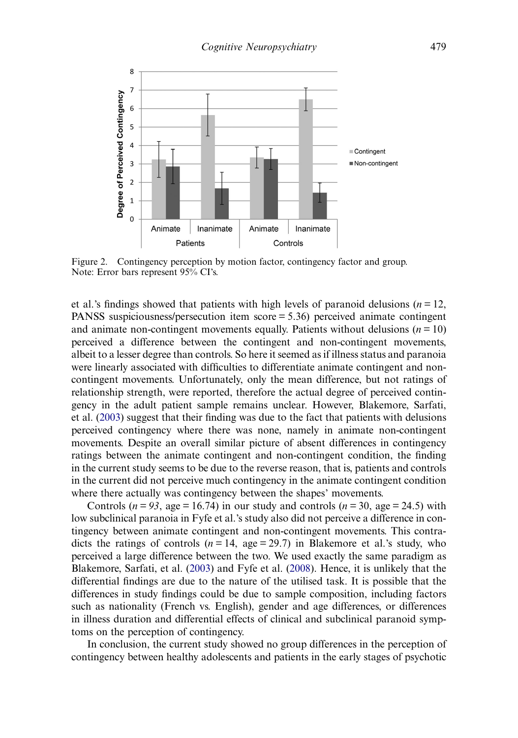<span id="page-7-0"></span>

Figure 2. Contingency perception by motion factor, contingency factor and group. Note: Error bars represent 95% CI's.

et al.'s findings showed that patients with high levels of paranoid delusions ( $n = 12$ , PANSS suspiciousness/persecution item score = 5.36) perceived animate contingent and animate non-contingent movements equally. Patients without delusions ( $n = 10$ ) perceived a difference between the contingent and non-contingent movements, albeit to a lesser degree than controls. So here it seemed as if illness status and paranoia were linearly associated with difficulties to differentiate animate contingent and noncontingent movements. Unfortunately, only the mean difference, but not ratings of relationship strength, were reported, therefore the actual degree of perceived contingency in the adult patient sample remains unclear. However, Blakemore, Sarfati, et al. ([2003\)](#page-8-0) suggest that their finding was due to the fact that patients with delusions perceived contingency where there was none, namely in animate non-contingent movements. Despite an overall similar picture of absent differences in contingency ratings between the animate contingent and non-contingent condition, the finding in the current study seems to be due to the reverse reason, that is, patients and controls in the current did not perceive much contingency in the animate contingent condition where there actually was contingency between the shapes' movements.

Controls ( $n = 93$ , age = 16.74) in our study and controls ( $n = 30$ , age = 24.5) with low subclinical paranoia in Fyfe et al.'s study also did not perceive a difference in contingency between animate contingent and non-contingent movements. This contradicts the ratings of controls ( $n = 14$ , age = 29.7) in Blakemore et al.'s study, who perceived a large difference between the two. We used exactly the same paradigm as Blakemore, Sarfati, et al. ([2003\)](#page-8-0) and Fyfe et al. ([2008\)](#page-8-0). Hence, it is unlikely that the differential findings are due to the nature of the utilised task. It is possible that the differences in study findings could be due to sample composition, including factors such as nationality (French vs. English), gender and age differences, or differences in illness duration and differential effects of clinical and subclinical paranoid symptoms on the perception of contingency.

In conclusion, the current study showed no group differences in the perception of contingency between healthy adolescents and patients in the early stages of psychotic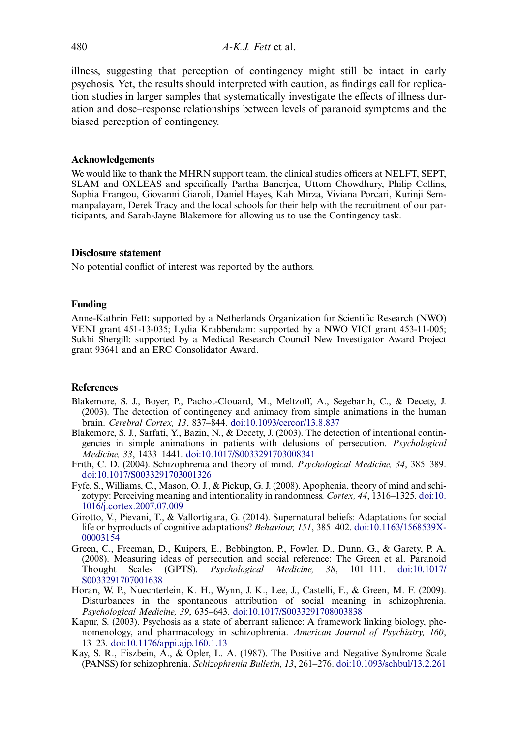<span id="page-8-0"></span>illness, suggesting that perception of contingency might still be intact in early psychosis. Yet, the results should interpreted with caution, as findings call for replication studies in larger samples that systematically investigate the effects of illness duration and dose–response relationships between levels of paranoid symptoms and the biased perception of contingency.

#### Acknowledgements

We would like to thank the MHRN support team, the clinical studies officers at NELFT, SEPT, SLAM and OXLEAS and specifically Partha Banerjea, Uttom Chowdhury, Philip Collins, Sophia Frangou, Giovanni Giaroli, Daniel Hayes, Kah Mirza, Viviana Porcari, Kurinji Semmanpalayam, Derek Tracy and the local schools for their help with the recruitment of our participants, and Sarah-Jayne Blakemore for allowing us to use the Contingency task.

#### Disclosure statement

No potential conflict of interest was reported by the authors.

## Funding

Anne-Kathrin Fett: supported by a Netherlands Organization for Scientific Research (NWO) VENI grant 451-13-035; Lydia Krabbendam: supported by a NWO VICI grant 453-11-005; Sukhi Shergill: supported by a Medical Research Council New Investigator Award Project grant 93641 and an ERC Consolidator Award.

#### References

- Blakemore, S. J., Boyer, P., Pachot-Clouard, M., Meltzoff, A., Segebarth, C., & Decety, J. (2003). The detection of contingency and animacy from simple animations in the human brain. Cerebral Cortex, 13, 837–844. [doi:10.1093/cercor/13.8.837](http://dx.doi.org/10.1093/cercor/13.8.837)
- Blakemore, S. J., Sarfati, Y., Bazin, N., & Decety, J. (2003). The detection of intentional contingencies in simple animations in patients with delusions of persecution. Psychological Medicine, 33, 1433–1441. [doi:10.1017/S0033291703008341](http://dx.doi.org/10.1017/S0033291703008341)
- Frith, C. D. (2004). Schizophrenia and theory of mind. Psychological Medicine, 34, 385–389. [doi:10.1017/S0033291703001326](http://dx.doi.org/10.1017/S0033291703001326)
- Fyfe, S., Williams, C., Mason, O. J., & Pickup, G. J. (2008). Apophenia, theory of mind and schizotypy: Perceiving meaning and intentionality in randomness. Cortex, 44, 1316–1325. [doi:10.](http://dx.doi.org/10.1016/j.cortex.2007.07.009) [1016/j.cortex.2007.07.009](http://dx.doi.org/10.1016/j.cortex.2007.07.009)
- Girotto, V., Pievani, T., & Vallortigara, G. (2014). Supernatural beliefs: Adaptations for social life or byproducts of cognitive adaptations? Behaviour, 151, 385–402. [doi:10.1163/1568539X-](http://dx.doi.org/10.1163/1568539X-00003154)[00003154](http://dx.doi.org/10.1163/1568539X-00003154)
- Green, C., Freeman, D., Kuipers, E., Bebbington, P., Fowler, D., Dunn, G., & Garety, P. A. (2008). Measuring ideas of persecution and social reference: The Green et al. Paranoid Thought Scales (GPTS). Psychological Medicine, 38, 101–111. [doi:10.1017/](http://dx.doi.org/10.1017/S0033291707001638) [S0033291707001638](http://dx.doi.org/10.1017/S0033291707001638)
- Horan, W. P., Nuechterlein, K. H., Wynn, J. K., Lee, J., Castelli, F., & Green, M. F. (2009). Disturbances in the spontaneous attribution of social meaning in schizophrenia. Psychological Medicine, 39, 635–643. [doi:10.1017/S0033291708003838](http://dx.doi.org/10.1017/S0033291708003838)
- Kapur, S. (2003). Psychosis as a state of aberrant salience: A framework linking biology, phenomenology, and pharmacology in schizophrenia. American Journal of Psychiatry, 160, 13–23. [doi:10.1176/appi.ajp.160.1.13](http://dx.doi.org/10.1176/appi.ajp.160.1.13)
- Kay, S. R., Fiszbein, A., & Opler, L. A. (1987). The Positive and Negative Syndrome Scale (PANSS) for schizophrenia. Schizophrenia Bulletin, 13, 261–276. [doi:10.1093/schbul/13.2.261](http://dx.doi.org/10.1093/schbul/13.2.261)